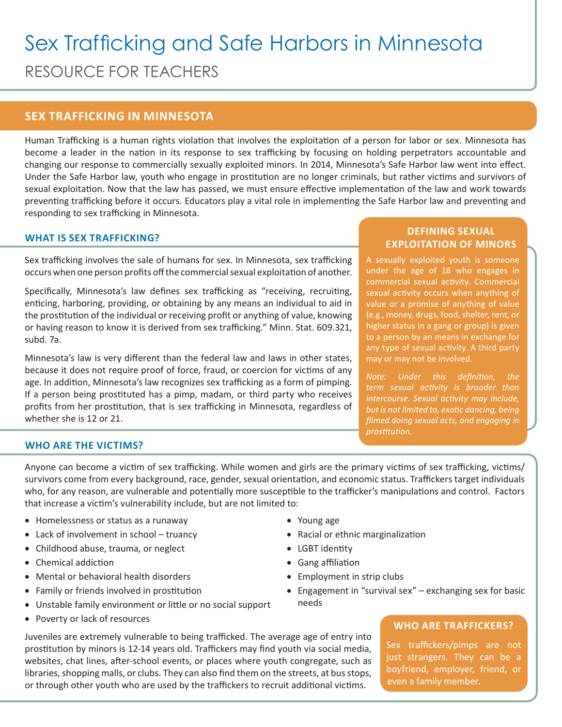# Sex Trafficking and Safe Harbors in Minnesota RESOURCE FOR TEACHERS

## **SEX TRAFFICKING IN MINNESOTA**

Human Trafficking is a human rights violation that involves the exploitation of a person for labor or sex. Minnesota has become a leader in the nation in its response to sex trafficking by focusing on holding perpetrators accountable and changing our response to commercially sexually exploited minors. In 2014, Minnesota's Safe Harbor law went into effect. Under the Safe Harbor law, youth who engage in prostitution are no longer criminals, but rather victims and survivors of sexual exploitation. Now that the law has passed, we must ensure effective implementation of the law and work towards preventing trafficking before it occurs. Educators play a vital role in implementing the Safe Harbor law and preventing and responding to sex trafficking in Minnesota.

## **WHAT IS SEX TRAFFICKING?**

Sex trafficking involves the sale of humans for sex. In Minnesota, sex trafficking occurs when one person profits off the commercial sexual exploitation of another.

Specifically, Minnesota's law defines sex trafficking as "receiving, recruiting, enticing, harboring, providing, or obtaining by any means an individual to aid in the prostitution of the individual or receiving profit or anything of value, knowing or having reason to know it is derived from sex trafficking." Minn. Stat. 609.321, subd. 7a.

Minnesota's law is very different than the federal law and laws in other states, because it does not require proof of force, fraud, or coercion for victims of any age. In addition, Minnesota's law recognizes sex trafficking as a form of pimping. If a person being prostituted has a pimp, madam, or third party who receives profits from her prostitution, that is sex trafficking in Minnesota, regardless of whether she is 12 or 21.

## **DEFINING SEXUAL EXPLOITATION OF MINORS**

A sexually exploited youth is someone under the age of 18 who engages in commercial sexual activity. Commercial sexual activity occurs when anything of value or a promise of anything of value (e.g., money, drugs, food, shelter, rent, or higher status in a gang or group) is given to a person by an means in exchange for any type of sexual activity. A third party

*intercourse. Sexual activity may include, but is not limited to, exotic dancing, being filmed doing sexual acts, and engaging in prostitution.* 

#### **WHO ARE THE VICTIMS?**

Anyone can become a victim of sex trafficking. While women and girls are the primary victims of sex trafficking, victims/ survivors come from every background, race, gender, sexual orientation, and economic status. Traffickers target individuals who, for any reason, are vulnerable and potentially more susceptible to the trafficker's manipulations and control. Factors that increase a victim's vulnerability include, but are not limited to:

- Homelessness or status as a runaway
- Lack of involvement in school truancy
- • Childhood abuse, trauma, or neglect
- • Chemical addiction
- • Mental or behavioral health disorders
- Family or friends involved in prostitution
- Unstable family environment or little or no social support
- Poverty or lack of resources
- • Young age
- • Racial or ethnic marginalization
- LGBT identity
- • Gang affiliation
- Employment in strip clubs
- Engagement in "survival sex" exchanging sex for basic needs

## **WHO ARE TRAFFICKERS?**

Sex traffickers/pimps are not just strangers. They can be a boyfriend, employer, friend, or even a family member.

Juveniles are extremely vulnerable to being trafficked. The average age of entry into prostitution by minors is 12-14 years old. Traffickers may find youth via social media, websites, chat lines, after-school events, or places where youth congregate, such as libraries, shopping malls, or clubs. They can also find them on the streets, at bus stops, or through other youth who are used by the traffickers to recruit additional victims.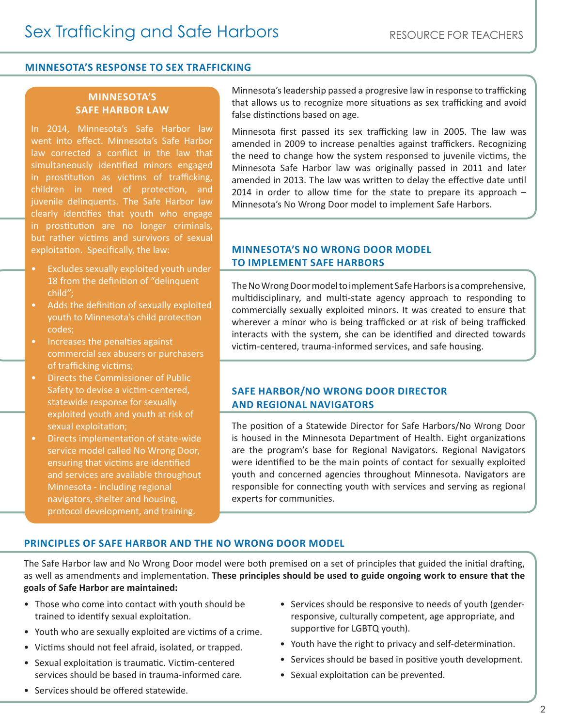#### **MINNESOTA'S RESPONSE TO SEX TRAFFICKING**

## **MINNESOTA'S SAFE HARBOR LAW**

In 2014, Minnesota's Safe Harbor law went into effect. Minnesota's Safe Harbor law corrected a conflict in the law that simultaneously identified minors engaged in prostitution as victims of trafficking, children in need of protection, and juvenile delinquents. The Safe Harbor law clearly identifies that youth who engage in prostitution are no longer criminals, but rather victims and survivors of sexual exploitation. Specifically, the law:

- Excludes sexually exploited youth under 18 from the definition of "delinquent child";
- Adds the definition of sexually exploited youth to Minnesota's child protection codes;
- Increases the penalties against commercial sex abusers or purchasers of trafficking victims;
- Directs the Commissioner of Public Safety to devise a victim-centered, statewide response for sexually exploited youth and youth at risk of sexual exploitation;
- Directs implementation of state-wide service model called No Wrong Door, ensuring that victims are identified and services are available throughout Minnesota - including regional navigators, shelter and housing, protocol development, and training.

Minnesota's leadership passed a progresive law in response to trafficking that allows us to recognize more situations as sex trafficking and avoid false distinctions based on age.

Minnesota first passed its sex trafficking law in 2005. The law was amended in 2009 to increase penalties against traffickers. Recognizing the need to change how the system responsed to juvenile victims, the Minnesota Safe Harbor law was originally passed in 2011 and later amended in 2013. The law was written to delay the effective date until 2014 in order to allow time for the state to prepare its approach  $-$ Minnesota's No Wrong Door model to implement Safe Harbors.

#### **MINNESOTA'S NO WRONG DOOR MODEL TO IMPLEMENT SAFE HARBORS**

The No Wrong Door model to implement Safe Harbors is a comprehensive, multidisciplinary, and multi-state agency approach to responding to commercially sexually exploited minors. It was created to ensure that wherever a minor who is being trafficked or at risk of being trafficked interacts with the system, she can be identified and directed towards victim-centered, trauma-informed services, and safe housing.

#### **SAFE HARBOR/NO WRONG DOOR DIRECTOR AND REGIONAL NAVIGATORS**

The position of a Statewide Director for Safe Harbors/No Wrong Door is housed in the Minnesota Department of Health. Eight organizations are the program's base for Regional Navigators. Regional Navigators were identified to be the main points of contact for sexually exploited youth and concerned agencies throughout Minnesota. Navigators are responsible for connecting youth with services and serving as regional experts for communities.

#### **PRINCIPLES OF SAFE HARBOR AND THE NO WRONG DOOR MODEL**

The Safe Harbor law and No Wrong Door model were both premised on a set of principles that guided the initial drafting, as well as amendments and implementation. **These principles should be used to guide ongoing work to ensure that the goals of Safe Harbor are maintained:** 

- Those who come into contact with youth should be trained to identify sexual exploitation.
- Youth who are sexually exploited are victims of a crime.
- Victims should not feel afraid, isolated, or trapped.
- Sexual exploitation is traumatic. Victim-centered services should be based in trauma-informed care.
- Services should be offered statewide.
- Services should be responsive to needs of youth (genderresponsive, culturally competent, age appropriate, and supportive for LGBTQ youth).
- Youth have the right to privacy and self-determination.
- Services should be based in positive youth development.
- Sexual exploitation can be prevented.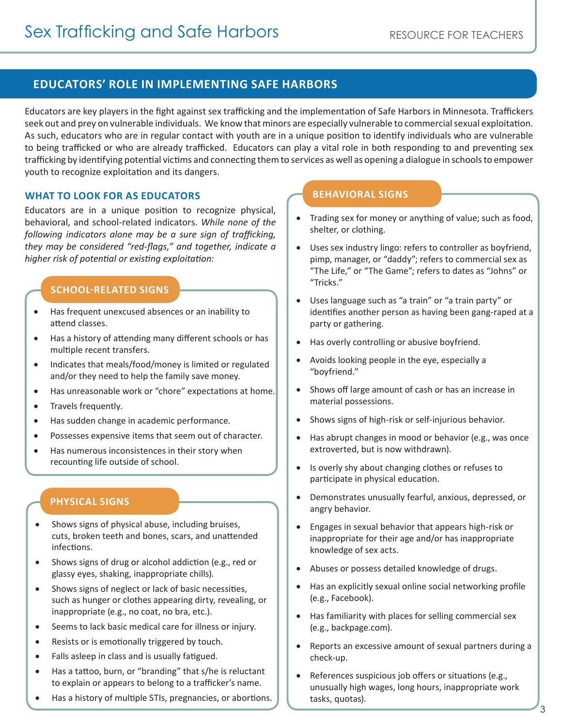## **EDUCATORS' ROLE IN IMPLEMENTING SAFE HARBORS**

Educators are key players in the fight against sex trafficking and the implementation of Safe Harbors in Minnesota. Traffickers seek out and prey on vulnerable individuals. We know that minors are especially vulnerable to commercial sexual exploitation. As such, educators who are in regular contact with youth are in a unique position to identify individuals who are vulnerable to being trafficked or who are already trafficked. Educators can play a vital role in both responding to and preventing sex trafficking by identifying potential victims and connecting them to services as well as opening a dialogue in schools to empower youth to recognize exploitation and its dangers.

## **WHAT TO LOOK FOR AS EDUCATORS**

Educators are in a unique position to recognize physical, behavioral, and school-related indicators. *While none of the following indicators alone may be a sure sign of trafficking, they may be considered "red-flags," and together, indicate a higher risk of potential or existing exploitation:*

## **SCHOOL-RELATED SIGNS**

- • Has frequent unexcused absences or an inability to attend classes.
- • Has a history of attending many different schools or has multiple recent transfers.
- Indicates that meals/food/money is limited or regulated and/or they need to help the family save money.
- • Has unreasonable work or "chore" expectations at home.
- • Travels frequently.
- Has sudden change in academic performance.
- Possesses expensive items that seem out of character.
- Has numerous inconsistences in their story when recounting life outside of school.

## **PHYSICAL SIGNS**

- • Shows signs of physical abuse, including bruises, cuts, broken teeth and bones, scars, and unattended infections.
- Shows signs of drug or alcohol addiction (e.g., red or glassy eyes, shaking, inappropriate chills).
- Shows signs of neglect or lack of basic necessities, such as hunger or clothes appearing dirty, revealing, or inappropriate (e.g., no coat, no bra, etc.).
- • Seems to lack basic medical care for illness or injury.
- Resists or is emotionally triggered by touch.
- • Falls asleep in class and is usually fatigued.
- • Has a tattoo, burn, or "branding" that s/he is reluctant to explain or appears to belong to a trafficker's name.
- Has a history of multiple STIs, pregnancies, or abortions.

# **BEHAVIORAL SIGNS**

- Trading sex for money or anything of value; such as food, shelter, or clothing.
- • Uses sex industry lingo: refers to controller as boyfriend, pimp, manager, or "daddy"; refers to commercial sex as "The Life," or "The Game"; refers to dates as "Johns" or "Tricks."
- Uses language such as "a train" or "a train party" or identifies another person as having been gang-raped at a party or gathering.
- Has overly controlling or abusive boyfriend.
- Avoids looking people in the eye, especially a "boyfriend."
- Shows off large amount of cash or has an increase in material possessions.
- Shows signs of high-risk or self-injurious behavior.
- Has abrupt changes in mood or behavior (e.g., was once extroverted, but is now withdrawn).
- Is overly shy about changing clothes or refuses to participate in physical education.
- • Demonstrates unusually fearful, anxious, depressed, or angry behavior.
- Engages in sexual behavior that appears high-risk or inappropriate for their age and/or has inappropriate knowledge of sex acts.
- Abuses or possess detailed knowledge of drugs.
- Has an explicitly sexual online social networking profile (e.g., Facebook).
- • Has familiarity with places for selling commercial sex (e.g., backpage.com).
- • Reports an excessive amount of sexual partners during a check-up.
- References suspicious job offers or situations (e.g., unusually high wages, long hours, inappropriate work tasks, quotas).